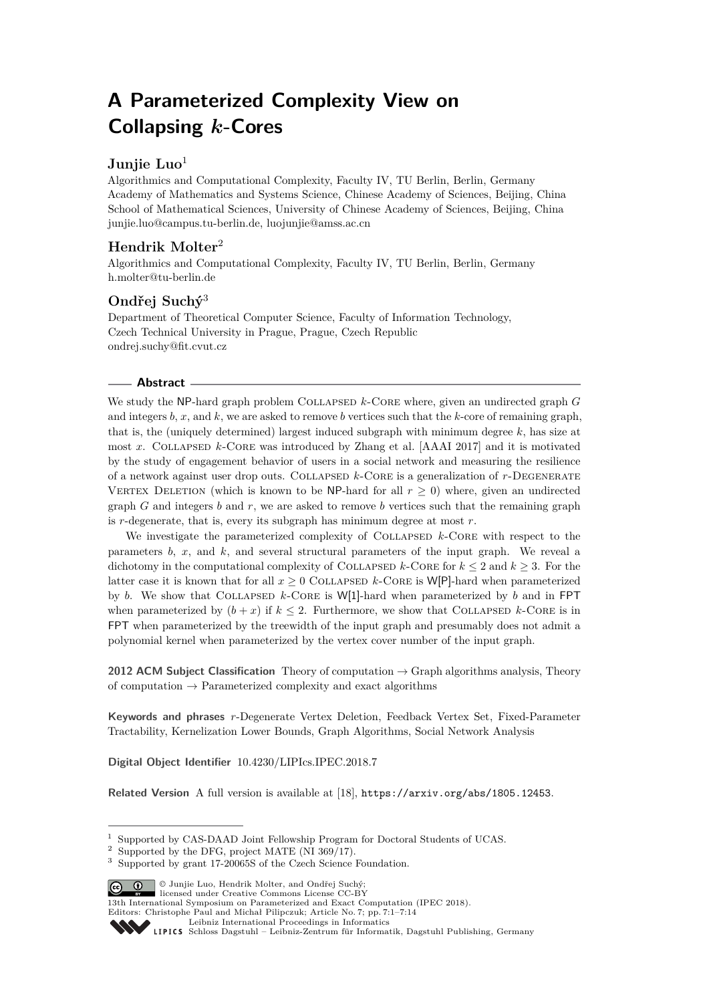# **A Parameterized Complexity View on Collapsing** *k***-Cores**

# **Junjie Luo**<sup>1</sup>

Algorithmics and Computational Complexity, Faculty IV, TU Berlin, Berlin, Germany Academy of Mathematics and Systems Science, Chinese Academy of Sciences, Beijing, China School of Mathematical Sciences, University of Chinese Academy of Sciences, Beijing, China [junjie.luo@campus.tu-berlin.de, luojunjie@amss.ac.cn](mailto:junjie.luo@campus.tu-berlin.de, luojunjie@amss.ac.cn)

# **Hendrik Molter**<sup>2</sup>

Algorithmics and Computational Complexity, Faculty IV, TU Berlin, Berlin, Germany [h.molter@tu-berlin.de](mailto:h.molter@tu-berlin.de)

# **Ondřej Suchý**<sup>3</sup>

Department of Theoretical Computer Science, Faculty of Information Technology, Czech Technical University in Prague, Prague, Czech Republic [ondrej.suchy@fit.cvut.cz](mailto:ondrej.suchy@fit.cvut.cz)

# **Abstract**

We study the NP-hard graph problem COLLAPSED  $k$ -CORE where, given an undirected graph *G* and integers *b*, *x*, and *k*, we are asked to remove *b* vertices such that the *k*-core of remaining graph, that is, the (uniquely determined) largest induced subgraph with minimum degree *k*, has size at most *x*. Collapsed *k*-Core was introduced by Zhang et al. [AAAI 2017] and it is motivated by the study of engagement behavior of users in a social network and measuring the resilience of a network against user drop outs. Collapsed *k*-Core is a generalization of *r*-Degenerate VERTEX DELETION (which is known to be NP-hard for all  $r > 0$ ) where, given an undirected graph *G* and integers *b* and *r*, we are asked to remove *b* vertices such that the remaining graph is *r*-degenerate, that is, every its subgraph has minimum degree at most *r*.

We investigate the parameterized complexity of COLLAPSED  $k$ -CORE with respect to the parameters *b*, *x*, and *k*, and several structural parameters of the input graph. We reveal a dichotomy in the computational complexity of COLLAPSED  $k$ -CORE for  $k \leq 2$  and  $k \geq 3$ . For the latter case it is known that for all  $x > 0$  COLLAPSED  $k$ -CORE is W[P]-hard when parameterized by *b*. We show that Collapsed *k*-Core is W[1]-hard when parameterized by *b* and in FPT when parameterized by  $(b + x)$  if  $k \leq 2$ . Furthermore, we show that COLLAPSED  $k$ -CORE is in FPT when parameterized by the treewidth of the input graph and presumably does not admit a polynomial kernel when parameterized by the vertex cover number of the input graph.

**2012 ACM Subject Classification** Theory of computation → Graph algorithms analysis, Theory of computation  $\rightarrow$  Parameterized complexity and exact algorithms

**Keywords and phrases** *r*-Degenerate Vertex Deletion, Feedback Vertex Set, Fixed-Parameter Tractability, Kernelization Lower Bounds, Graph Algorithms, Social Network Analysis

**Digital Object Identifier** [10.4230/LIPIcs.IPEC.2018.7](https://doi.org/10.4230/LIPIcs.IPEC.2018.7)

**Related Version** A full version is available at [\[18\]](#page-13-0), <https://arxiv.org/abs/1805.12453>.

© Junjie Luo, Hendrik Molter, and Ondřej Suchý;

[Leibniz International Proceedings in Informatics](http://www.dagstuhl.de/lipics/)



<sup>&</sup>lt;sup>1</sup> Supported by CAS-DAAD Joint Fellowship Program for Doctoral Students of UCAS.

 $2$  Supported by the DFG, project MATE (NI 369/17).

<sup>3</sup> Supported by grant 17-20065S of the Czech Science Foundation.

licensed under Creative Commons License CC-BY 13th International Symposium on Parameterized and Exact Computation (IPEC 2018).

Editors: Christophe Paul and Michał Pilipczuk; Article No. 7; pp. 7:1–7[:14](#page-13-1)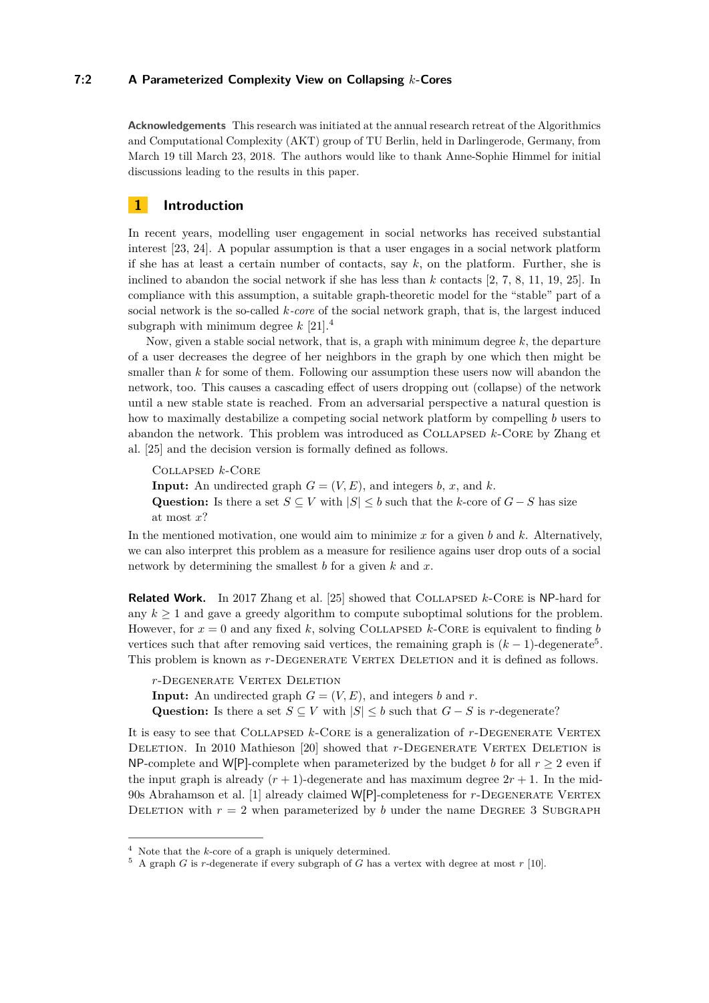#### **7:2 A Parameterized Complexity View on Collapsing** *k***-Cores**

**Acknowledgements** This research was initiated at the annual research retreat of the Algorithmics and Computational Complexity (AKT) group of TU Berlin, held in Darlingerode, Germany, from March 19 till March 23, 2018. The authors would like to thank Anne-Sophie Himmel for initial discussions leading to the results in this paper.

# **1 Introduction**

In recent years, modelling user engagement in social networks has received substantial interest [\[23,](#page-13-2) [24\]](#page-13-3). A popular assumption is that a user engages in a social network platform if she has at least a certain number of contacts, say *k*, on the platform. Further, she is inclined to abandon the social network if she has less than *k* contacts [\[2,](#page-12-0) [7,](#page-12-1) [8,](#page-12-2) [11,](#page-12-3) [19,](#page-13-4) [25\]](#page-13-5). In compliance with this assumption, a suitable graph-theoretic model for the "stable" part of a social network is the so-called *k-core* of the social network graph, that is, the largest induced subgraph with minimum degree *k* [\[21\]](#page-13-6).[4](#page-1-0)

Now, given a stable social network, that is, a graph with minimum degree *k*, the departure of a user decreases the degree of her neighbors in the graph by one which then might be smaller than *k* for some of them. Following our assumption these users now will abandon the network, too. This causes a cascading effect of users dropping out (collapse) of the network until a new stable state is reached. From an adversarial perspective a natural question is how to maximally destabilize a competing social network platform by compelling *b* users to abandon the network. This problem was introduced as Collapsed *k*-Core by Zhang et al. [\[25\]](#page-13-5) and the decision version is formally defined as follows.

Collapsed *k*-Core **Input:** An undirected graph  $G = (V, E)$ , and integers *b*, *x*, and *k*. Question: Is there a set  $S \subseteq V$  with  $|S| \leq b$  such that the *k*-core of  $G - S$  has size at most *x*?

In the mentioned motivation, one would aim to minimize *x* for a given *b* and *k*. Alternatively, we can also interpret this problem as a measure for resilience agains user drop outs of a social network by determining the smallest *b* for a given *k* and *x*.

**Related Work.** In 2017 Zhang et al. [\[25\]](#page-13-5) showed that COLLAPSED *k*-CORE is NP-hard for any  $k \geq 1$  and gave a greedy algorithm to compute suboptimal solutions for the problem. However, for  $x = 0$  and any fixed k, solving COLLAPSED k-CORE is equivalent to finding b vertices such that after removing said vertices, the remaining graph is  $(k-1)$ -degenerate<sup>[5](#page-1-1)</sup>. This problem is known as  $r$ -DEGENERATE VERTEX DELETION and it is defined as follows.

*r*-Degenerate Vertex Deletion

**Input:** An undirected graph  $G = (V, E)$ , and integers *b* and *r*.

Question: Is there a set  $S \subseteq V$  with  $|S| \leq b$  such that  $G - S$  is *r*-degenerate?

It is easy to see that Collapsed *k*-Core is a generalization of *r*-Degenerate Vertex DELETION. In 2010 Mathieson [\[20\]](#page-13-7) showed that *r*-DEGENERATE VERTEX DELETION is NP-complete and W[P]-complete when parameterized by the budget *b* for all  $r > 2$  even if the input graph is already  $(r + 1)$ -degenerate and has maximum degree  $2r + 1$ . In the mid-90s Abrahamson et al. [\[1\]](#page-12-4) already claimed W[P]-completeness for *r*-DEGENERATE VERTEX DELETION with  $r = 2$  when parameterized by *b* under the name DEGREE 3 SUBGRAPH

<span id="page-1-0"></span><sup>4</sup> Note that the *k*-core of a graph is uniquely determined.

<span id="page-1-1"></span> $5$  A graph *G* is *r*-degenerate if every subgraph of *G* has a vertex with degree at most  $r$  [\[10\]](#page-12-5).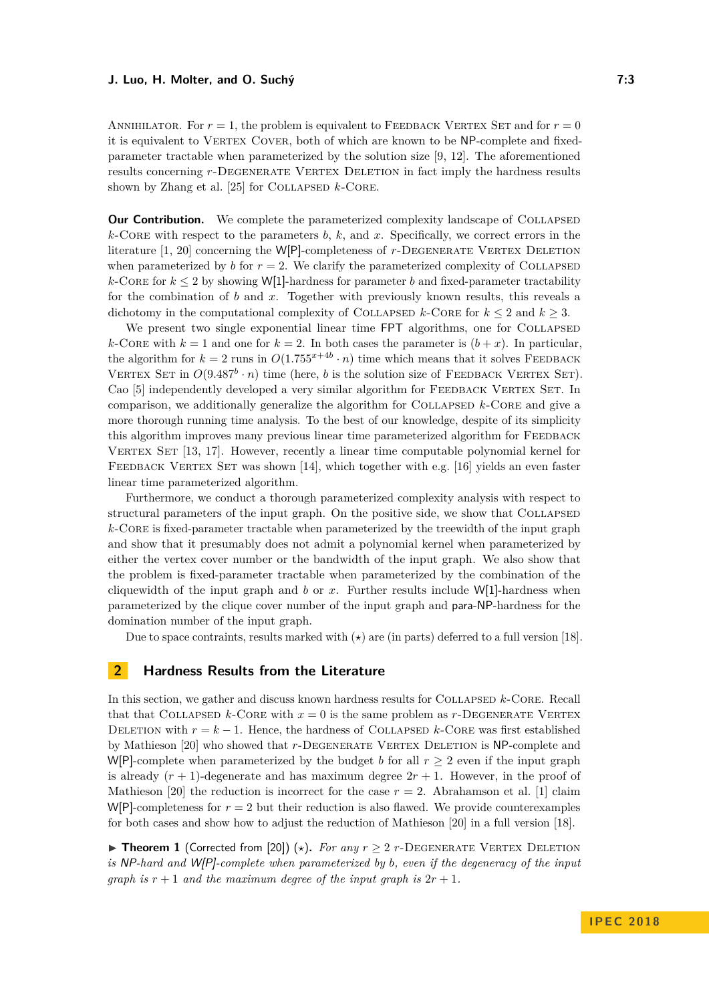#### **J. Luo, H. Molter, and O. Suchý 7:3**

ANNIHILATOR. For  $r = 1$ , the problem is equivalent to FEEDBACK VERTEX SET and for  $r = 0$ it is equivalent to VERTEX COVER, both of which are known to be NP-complete and fixedparameter tractable when parameterized by the solution size [\[9,](#page-12-6) [12\]](#page-12-7). The aforementioned results concerning *r*-DEGENERATE VERTEX DELETION in fact imply the hardness results shown by Zhang et al. [\[25\]](#page-13-5) for COLLAPSED *k*-CORE.

**Our Contribution.** We complete the parameterized complexity landscape of COLLAPSED  $k$ -Core with respect to the parameters  $b, k$ , and  $x$ . Specifically, we correct errors in the literature [\[1,](#page-12-4) [20\]](#page-13-7) concerning the W[P]-completeness of r-DEGENERATE VERTEX DELETION when parameterized by *b* for  $r = 2$ . We clarify the parameterized complexity of COLLAPSED  $k$ -CORE for  $k \leq 2$  by showing W[1]-hardness for parameter *b* and fixed-parameter tractability for the combination of *b* and *x*. Together with previously known results, this reveals a dichotomy in the computational complexity of COLLAPSED  $k$ -CORE for  $k \leq 2$  and  $k \geq 3$ .

We present two single exponential linear time FPT algorithms, one for COLLAPSED *k*-CORE with  $k = 1$  and one for  $k = 2$ . In both cases the parameter is  $(b + x)$ . In particular, the algorithm for  $k = 2$  runs in  $O(1.755^{x+4b} \cdot n)$  time which means that it solves FEEDBACK VERTEX SET in  $O(9.487^b \cdot n)$  time (here, *b* is the solution size of FEEDBACK VERTEX SET). Cao [\[5\]](#page-12-8) independently developed a very similar algorithm for FEEDBACK VERTEX SET. In comparison, we additionally generalize the algorithm for Collapsed *k*-Core and give a more thorough running time analysis. To the best of our knowledge, despite of its simplicity this algorithm improves many previous linear time parameterized algorithm for FEEDBACK VERTEX SET [\[13,](#page-12-9) [17\]](#page-13-8). However, recently a linear time computable polynomial kernel for FEEDBACK VERTEX SET was shown [\[14\]](#page-12-10), which together with e.g. [\[16\]](#page-13-9) yields an even faster linear time parameterized algorithm.

Furthermore, we conduct a thorough parameterized complexity analysis with respect to structural parameters of the input graph. On the positive side, we show that COLLAPSED *k*-Core is fixed-parameter tractable when parameterized by the treewidth of the input graph and show that it presumably does not admit a polynomial kernel when parameterized by either the vertex cover number or the bandwidth of the input graph. We also show that the problem is fixed-parameter tractable when parameterized by the combination of the cliquewidth of the input graph and *b* or *x*. Further results include W[1]-hardness when parameterized by the clique cover number of the input graph and para-NP-hardness for the domination number of the input graph.

Due to space contraints, results marked with  $(\star)$  are (in parts) deferred to a full version [\[18\]](#page-13-0).

# **2 Hardness Results from the Literature**

In this section, we gather and discuss known hardness results for Collapsed *k*-Core. Recall that that COLLAPSED  $k$ -CORE with  $x = 0$  is the same problem as  $r$ -DEGENERATE VERTEX DELETION with  $r = k - 1$ . Hence, the hardness of COLLAPSED  $k$ -CORE was first established by Mathieson [\[20\]](#page-13-7) who showed that *r*-DEGENERATE VERTEX DELETION is NP-complete and W[P]-complete when parameterized by the budget *b* for all  $r \geq 2$  even if the input graph is already  $(r + 1)$ -degenerate and has maximum degree  $2r + 1$ . However, in the proof of Mathieson [\[20\]](#page-13-7) the reduction is incorrect for the case  $r = 2$ . Abrahamson et al. [\[1\]](#page-12-4) claim  $W[P]$ -completeness for  $r = 2$  but their reduction is also flawed. We provide counterexamples for both cases and show how to adjust the reduction of Mathieson [\[20\]](#page-13-7) in a full version [\[18\]](#page-13-0).

<span id="page-2-0"></span>▶ **Theorem 1** (Corrected from [\[20\]](#page-13-7)) ( $\star$ ). *For any*  $r \geq 2$  *r*-DEGENERATE VERTEX DELETION *is* NP*-hard and* W[P]*-complete when parameterized by b, even if the degeneracy of the input graph is*  $r + 1$  *and the maximum degree of the input graph is*  $2r + 1$ *.*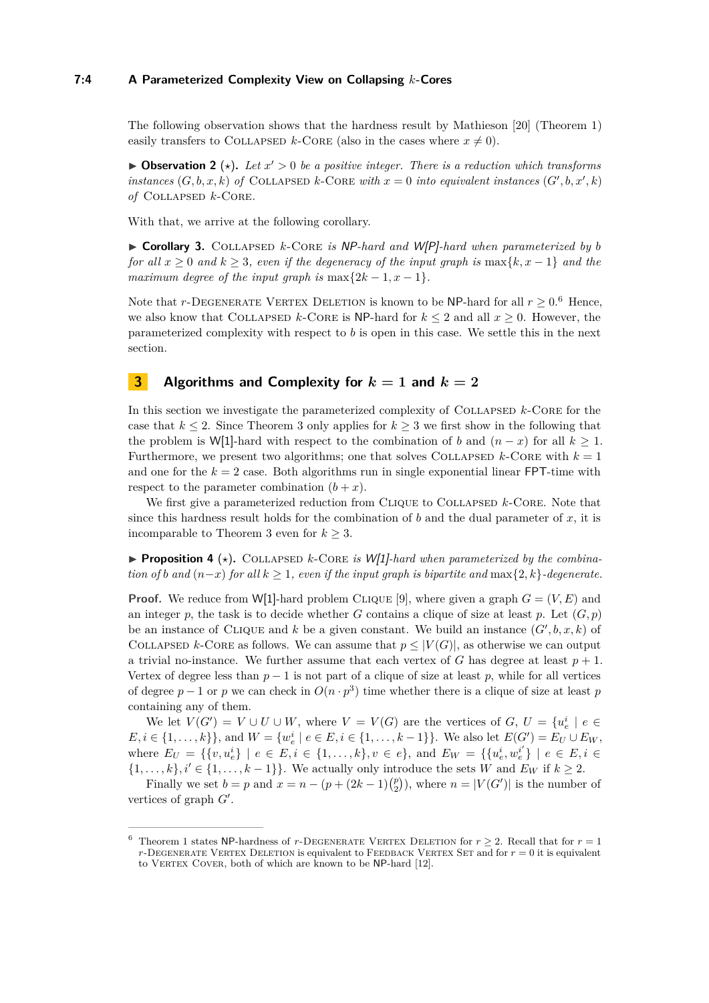# **7:4 A Parameterized Complexity View on Collapsing** *k***-Cores**

The following observation shows that the hardness result by Mathieson [\[20\]](#page-13-7) [\(Theorem 1\)](#page-2-0) easily transfers to COLLAPSED *k*-CORE (also in the cases where  $x \neq 0$ ).

**• Observation 2** ( $\star$ ). Let  $x' > 0$  be a positive integer. There is a reduction which transforms *instances*  $(G, b, x, k)$  *of* COLLAPSED *k*-CORE *with*  $x = 0$  *into equivalent instances*  $(G', b, x', k)$ *of* Collapsed *k*-Core*.*

With that, we arrive at the following corollary.

<span id="page-3-1"></span>▶ Corollary 3. COLLAPSED *k*-CORE *is* NP-hard and W[P]-hard when parameterized by *b for all*  $x \geq 0$  *and*  $k \geq 3$ *, even if the degeneracy of the input graph is* max{ $k, x - 1$ } *and the maximum degree of the input graph is*  $\max\{2k-1, x-1\}$ *.* 

Note that *r*-DEGENERATE VERTEX DELETION is known to be NP-hard for all  $r \geq 0.6$  $r \geq 0.6$  Hence, we also know that COLLAPSED  $k$ -CORE is NP-hard for  $k \leq 2$  and all  $x \geq 0$ . However, the parameterized complexity with respect to *b* is open in this case. We settle this in the next section.

# **3 Algorithms and Complexity for** *k* **= 1 and** *k* **= 2**

In this section we investigate the parameterized complexity of COLLAPSED  $k$ -CORE for the case that  $k \leq 2$ . Since [Theorem 3](#page-3-1) only applies for  $k \geq 3$  we first show in the following that the problem is W[1]-hard with respect to the combination of *b* and  $(n - x)$  for all  $k \ge 1$ . Furthermore, we present two algorithms; one that solves COLLAPSED  $k$ -CORE with  $k = 1$ and one for the  $k = 2$  case. Both algorithms run in single exponential linear **FPT**-time with respect to the parameter combination  $(b + x)$ .

We first give a parameterized reduction from CLIQUE to COLLAPSED  $k$ -CORE. Note that since this hardness result holds for the combination of  $b$  and the dual parameter of  $x$ , it is incomparable to [Theorem 3](#page-3-1) even for  $k \geq 3$ .

**Proposition 4** ( $\star$ ). COLLAPSED *k*-CORE *is* W[1]*-hard when parameterized by the combination of b* and  $(n-x)$  *for all*  $k \geq 1$ *, even if the input graph is bipartite and* max $\{2, k\}$ *-degenerate.* 

**Proof.** We reduce from W[1]-hard problem CLIQUE [\[9\]](#page-12-6), where given a graph  $G = (V, E)$  and an integer p, the task is to decide whether *G* contains a clique of size at least p. Let  $(G, p)$ be an instance of CLIQUE and  $k$  be a given constant. We build an instance  $(G', b, x, k)$  of COLLAPSED *k*-CORE as follows. We can assume that  $p \leq |V(G)|$ , as otherwise we can output a trivial no-instance. We further assume that each vertex of  $G$  has degree at least  $p + 1$ . Vertex of degree less than  $p-1$  is not part of a clique of size at least p, while for all vertices of degree  $p-1$  or  $p$  we can check in  $O(n \cdot p^3)$  time whether there is a clique of size at least  $p$ containing any of them.

We let  $V(G') = V \cup U \cup W$ , where  $V = V(G)$  are the vertices of  $G, U = \{u_e^i \mid e \in$  $E, i \in \{1, \ldots, k\}$ , and  $W = \{w_e^i \mid e \in E, i \in \{1, \ldots, k-1\}\}$ . We also let  $E(G') = E_U \cup E_W$ , where  $E_U = \{ \{v, u_e^i\} \mid e \in E, i \in \{1, ..., k\}, v \in e \}$ , and  $E_W = \{ \{u_e^i, w_e^{i'}\} \mid e \in E, i \in E \}$  $\{1, \ldots, k\}, i' \in \{1, \ldots, k-1\}\}.$  We actually only introduce the sets *W* and  $E_W$  if  $k \geq 2$ .

Finally we set  $b = p$  and  $x = n - (p + (2k - 1)\binom{p}{2})$ , where  $n = |V(G')|$  is the number of vertices of graph  $G'$ .

<span id="page-3-0"></span><sup>&</sup>lt;sup>6</sup> [Theorem 1](#page-2-0) states NP-hardness of *r*-DEGENERATE VERTEX DELETION for  $r \geq 2$ . Recall that for  $r = 1$  $r$ -DEGENERATE VERTEX DELETION is equivalent to FEEDBACK VERTEX SET and for  $r = 0$  it is equivalent to VERTEX COVER, both of which are known to be NP-hard [\[12\]](#page-12-7).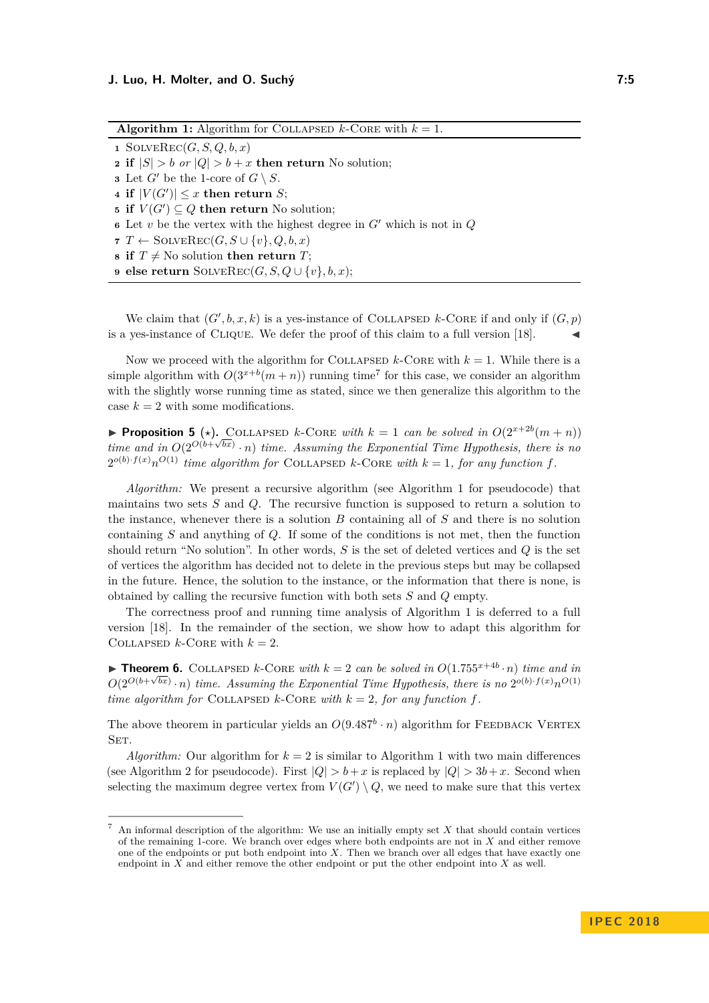<span id="page-4-1"></span>**Algorithm 1:** Algorithm for COLLAPSED  $k$ -CORE with  $k = 1$ . **1** SOLVEREC $(G, S, Q, b, x)$ **2 if**  $|S| > b$  *or*  $|Q| > b + x$  **then return** No solution; **3** Let  $G'$  be the 1-core of  $G \setminus S$ . **4** if  $|V(G')| \leq x$  then return *S*; **5 if**  $V(G') \subseteq Q$  **then return** No solution; **6** Let *v* be the vertex with the highest degree in  $G'$  which is not in  $Q$ **7**  $T \leftarrow$  SOLVEREC $(G, S \cup \{v\}, Q, b, x)$ **8 if**  $T \neq$  No solution **then return** *T*; **9 else return** SOLVEREC $(G, S, Q \cup \{v\}, b, x);$ 

We claim that  $(G', b, x, k)$  is a yes-instance of COLLAPSED k-CORE if and only if  $(G, p)$ is a yes-instance of CLIQUE. We defer the proof of this claim to a full version [\[18\]](#page-13-0).

Now we proceed with the algorithm for COLLAPSED  $k$ -CORE with  $k = 1$ . While there is a simple algorithm with  $O(3^{x+b}(m+n))$  running time<sup>[7](#page-4-0)</sup> for this case, we consider an algorithm with the slightly worse running time as stated, since we then generalize this algorithm to the case  $k = 2$  with some modifications.

**Proposition 5** (\*). COLLAPSED *k*-CORE *with*  $k = 1$  *can be solved in*  $O(2^{x+2b}(m+n))$ *time and in*  $O(2^{O(b+\sqrt{bx})} \cdot n)$  *time. Assuming the Exponential Time Hypothesis, there is no*  $2^{o(b)\cdot f(x)}n^{O(1)}$  *time algorithm for* COLLAPSED *k*-CORE *with*  $k = 1$ *, for any function*  $f$ *.* 

*Algorithm:* We present a recursive algorithm (see Algorithm [1](#page-4-1) for pseudocode) that maintains two sets *S* and *Q*. The recursive function is supposed to return a solution to the instance, whenever there is a solution *B* containing all of *S* and there is no solution containing *S* and anything of *Q*. If some of the conditions is not met, then the function should return "No solution". In other words, *S* is the set of deleted vertices and *Q* is the set of vertices the algorithm has decided not to delete in the previous steps but may be collapsed in the future. Hence, the solution to the instance, or the information that there is none, is obtained by calling the recursive function with both sets *S* and *Q* empty.

The correctness proof and running time analysis of Algorithm [1](#page-4-1) is deferred to a full version [\[18\]](#page-13-0). In the remainder of the section, we show how to adapt this algorithm for COLLAPSED  $k$ -CORE with  $k = 2$ .

<span id="page-4-2"></span>▶ **Theorem 6.** COLLAPSED  $k$ -CORE with  $k = 2$  can be solved in  $O(1.755^{x+4b} \cdot n)$  time and in  $O(2^{O(b+\sqrt{bx})} \cdot n)$  *time.* Assuming the Exponential Time Hypothesis, there is no  $2^{o(b)\cdot f(x)}n^{O(1)}$ *time algorithm for* COLLAPSED  $k$ -CORE *with*  $k = 2$ *, for any function*  $f$ *.* 

The above theorem in particular yields an  $O(9.487<sup>b</sup> \cdot n)$  algorithm for FEEDBACK VERTEX SET.

*Algorithm:* Our algorithm for  $k = 2$  is similar to Algorithm [1](#page-4-1) with two main differences (see Algorithm [2](#page-5-0) for pseudocode). First  $|Q| > b + x$  is replaced by  $|Q| > 3b + x$ . Second when selecting the maximum degree vertex from  $V(G') \setminus Q$ , we need to make sure that this vertex

<span id="page-4-0"></span><sup>7</sup> An informal description of the algorithm: We use an initially empty set *X* that should contain vertices of the remaining 1-core. We branch over edges where both endpoints are not in *X* and either remove one of the endpoints or put both endpoint into *X*. Then we branch over all edges that have exactly one endpoint in *X* and either remove the other endpoint or put the other endpoint into *X* as well.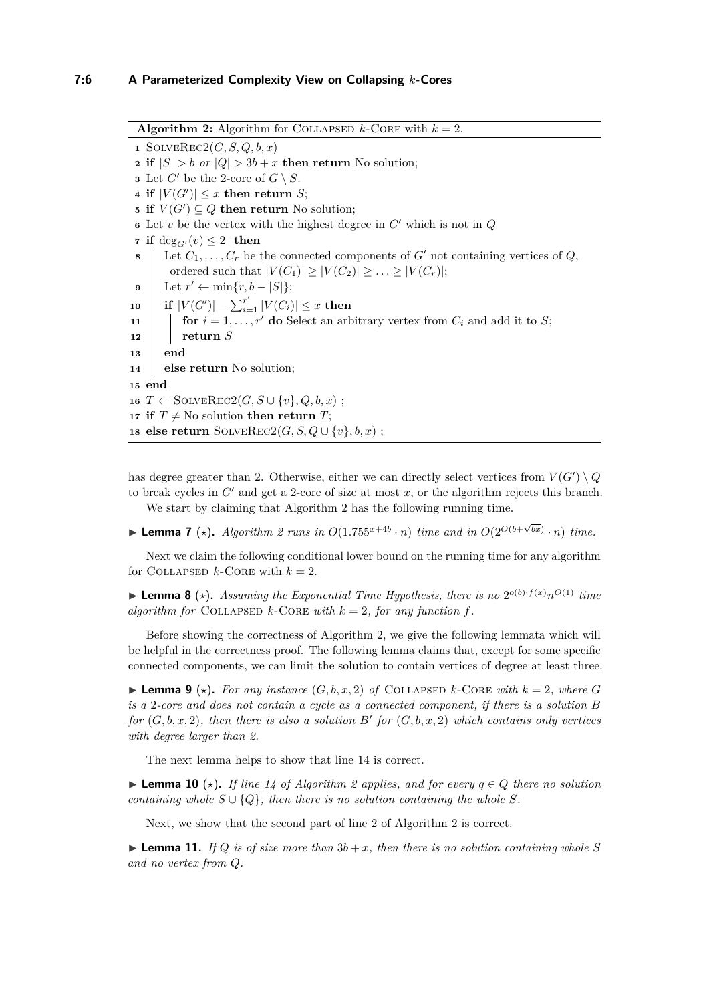<span id="page-5-2"></span><span id="page-5-0"></span>**Algorithm 2:** Algorithm for COLLAPSED  $k$ -CORE with  $k = 2$ . SOLVEREC2 $(G, S, Q, b, x)$  **if**  $|S| > b$  *or*  $|Q| > 3b + x$  **then return** No solution; Let  $G'$  be the 2-core of  $G \setminus S$ . if  $|V(G')| \leq x$  then return *S*; **if**  $V(G') \subseteq Q$  **then return** No solution; Let *v* be the vertex with the highest degree in  $G'$  which is not in  $Q$  **if** deg<sub>*G'*</sub> $(v) \leq 2$  **then**  Let  $C_1, \ldots, C_r$  be the connected components of  $G'$  not containing vertices of  $Q$ , ordered such that  $|V(C_1)| \geq |V(C_2)| \geq \ldots \geq |V(C_r)|$ ;  $\left| \text{ Let } r' \leftarrow \min\{r, b - |S| \};\right.$  $\textbf{10} \quad | \quad \textbf{if} \; |V(G')|-\sum_{i=1}^{r'} |V(C_i)| \leq x \; \textbf{then}$  **for**  $i = 1, \ldots, r'$  **do** Select an arbitrary vertex from  $C_i$  and add it to *S*; **<sup>12</sup> return** *S* **13 end else return** No solution; **15 end**  $T \leftarrow \text{SOLVERec2}(G, S \cup \{v\}, Q, b, x)$ ; **if**  $T \neq$  No solution **then return** *T*; **else return** SOLVEREC2(*G, S, Q* ∪ {*v*}*, b, x*) ;

<span id="page-5-1"></span>has degree greater than 2. Otherwise, either we can directly select vertices from  $V(G') \setminus Q$ to break cycles in  $G'$  and get a 2-core of size at most  $x$ , or the algorithm rejects this branch. We start by claiming that Algorithm [2](#page-5-0) has the following running time.

▶ **Lemma 7** ( $\star$ ). *Algorithm* [2](#page-5-0) *runs in*  $O(1.755^{x+4b} \cdot n)$  *time and in*  $O(2^{O(b+\sqrt{bx})} \cdot n)$  *time.* 

Next we claim the following conditional lower bound on the running time for any algorithm for COLLAPSED  $k$ -CORE with  $k = 2$ .

**Exponential Time Hypothesis, there is no**  $2^{o(b)\cdot f(x)}n^{O(1)}$  **time** *algorithm for* COLLAPSED  $k$ -CORE with  $k = 2$ , for any function f.

Before showing the correctness of Algorithm [2,](#page-5-0) we give the following lemmata which will be helpful in the correctness proof. The following lemma claims that, except for some specific connected components, we can limit the solution to contain vertices of degree at least three.

**I Lemma 9** ( $\star$ ). For any instance  $(G, b, x, 2)$  of COLLAPSED k-CORE with  $k = 2$ , where G *is a* 2*-core and does not contain a cycle as a connected component, if there is a solution B for*  $(G, b, x, 2)$ , then there is also a solution  $B'$  for  $(G, b, x, 2)$  which contains only vertices *with degree larger than 2.*

The next lemma helps to show that line [14](#page-5-1) is correct.

▶ **Lemma 10**  $(\star)$ . If line [14](#page-5-1) of Algorithm [2](#page-5-0) applies, and for every  $q \in Q$  there no solution *containing whole*  $S \cup \{Q\}$ *, then there is no solution containing the whole*  $S$ *.* 

Next, we show that the second part of line [2](#page-5-2) of Algorithm [2](#page-5-0) is correct.

**Example 11.** *If*  $Q$  *is of size more than*  $3b + x$ *, then there is no solution containing whole*  $S$ *and no vertex from Q.*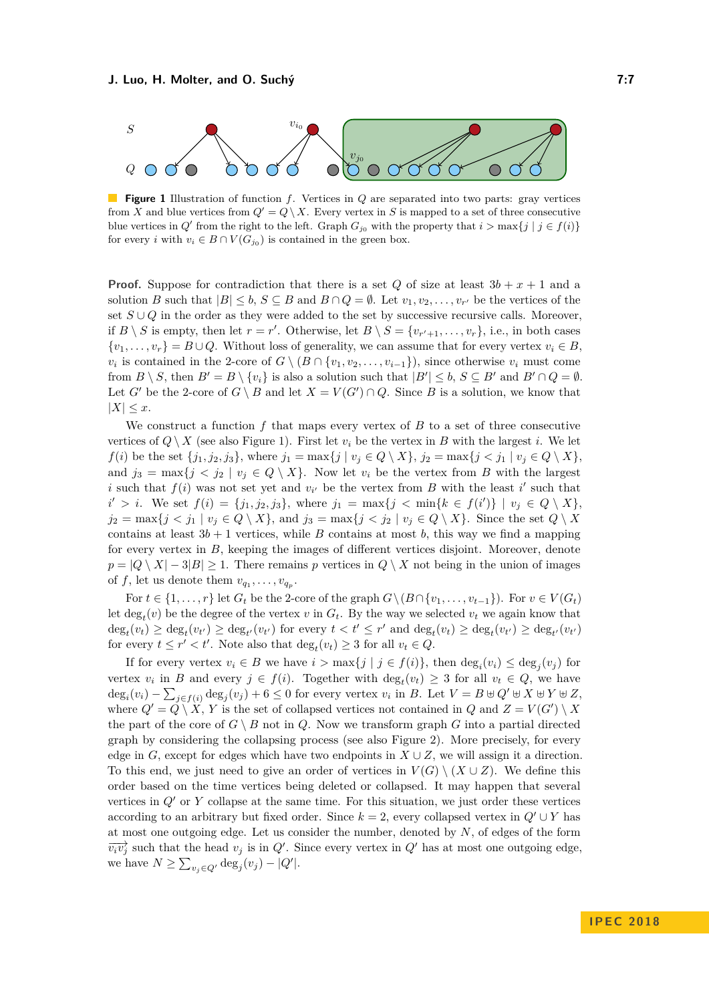<span id="page-6-0"></span>

**Figure 1** Illustration of function *f*. Vertices in *Q* are separated into two parts: gray vertices from *X* and blue vertices from  $Q' = Q \setminus X$ . Every vertex in *S* is mapped to a set of three consecutive blue vertices in  $Q'$  from the right to the left. Graph  $G_{j_0}$  with the property that  $i > \max\{j \mid j \in f(i)\}$ for every *i* with  $v_i \in B \cap V(G_{j_0})$  is contained in the green box.

**Proof.** Suppose for contradiction that there is a set *Q* of size at least  $3b + x + 1$  and a solution *B* such that  $|B| \leq b$ ,  $S \subseteq B$  and  $B \cap Q = \emptyset$ . Let  $v_1, v_2, \ldots, v_{r'}$  be the vertices of the set *S* ∪ *Q* in the order as they were added to the set by successive recursive calls. Moreover, if  $B \setminus S$  is empty, then let  $r = r'$ . Otherwise, let  $B \setminus S = \{v_{r'+1}, \ldots, v_r\}$ , i.e., in both cases  $\{v_1, \ldots, v_r\} = B \cup Q$ . Without loss of generality, we can assume that for every vertex  $v_i \in B$ .  $v_i$  is contained in the 2-core of  $G \setminus (B \cap \{v_1, v_2, \ldots, v_{i-1}\})$ , since otherwise  $v_i$  must come from  $B \setminus S$ , then  $B' = B \setminus \{v_i\}$  is also a solution such that  $|B'| \leq b$ ,  $S \subseteq B'$  and  $B' \cap Q = \emptyset$ . Let *G*<sup> $\prime$ </sup> be the 2-core of  $G \setminus B$  and let  $X = V(G') \cap Q$ . Since *B* is a solution, we know that  $|X| \leq x$ .

We construct a function *f* that maps every vertex of *B* to a set of three consecutive vertices of  $Q \setminus X$  (see also Figure [1\)](#page-6-0). First let  $v_i$  be the vertex in *B* with the largest *i*. We let *f*(*i*) be the set  $\{j_1, j_2, j_3\}$ , where  $j_1 = \max\{j \mid v_j \in Q \setminus X\}$ ,  $j_2 = \max\{j \leq j_1 \mid v_j \in Q \setminus X\}$ , and  $j_3 = \max\{j \le j_2 \mid v_j \in Q \setminus X\}$ . Now let  $v_i$  be the vertex from *B* with the largest *i* such that  $f(i)$  was not set yet and  $v_i$  be the vertex from *B* with the least *i*' such that  $i' > i$ . We set  $f(i) = \{j_1, j_2, j_3\}$ , where  $j_1 = \max\{j < \min\{k \in f(i')\} \mid v_j \in Q \setminus X\}$ ,  $j_2 = \max\{j \le j_1 \mid v_j \in Q \setminus X\}$ , and  $j_3 = \max\{j \le j_2 \mid v_j \in Q \setminus X\}$ . Since the set  $Q \setminus X$ contains at least  $3b + 1$  vertices, while *B* contains at most *b*, this way we find a mapping for every vertex in *B*, keeping the images of different vertices disjoint. Moreover, denote  $p = |Q \setminus X| - 3|B| \ge 1$ . There remains *p* vertices in  $Q \setminus X$  not being in the union of images of *f*, let us denote them  $v_{q_1}, \ldots, v_{q_p}$ .

For  $t \in \{1, \ldots, r\}$  let  $G_t$  be the 2-core of the graph  $G\setminus (B \cap \{v_1, \ldots, v_{t-1}\})$ . For  $v \in V(G_t)$ let  $\deg_t(v)$  be the degree of the vertex *v* in  $G_t$ . By the way we selected  $v_t$  we again know that  $\deg_t(v_t) \geq \deg_t(v_{t'}) \geq \deg_{t'}(v_{t'})$  for every  $t < t' \leq r'$  and  $\deg_t(v_t) \geq \deg_t(v_{t'}) \geq \deg_{t'}(v_{t'})$ for every  $t \leq r' < t'$ . Note also that  $\deg_t(v_t) \geq 3$  for all  $v_t \in Q$ .

If for every vertex  $v_i \in B$  we have  $i > \max\{j \mid j \in f(i)\}\$ , then  $\deg_i(v_i) \leq \deg_j(v_j)$  for vertex  $v_i$  in *B* and every  $j \in f(i)$ . Together with  $\deg_t(v_t) \geq 3$  for all  $v_t \in Q$ , we have  $\deg_i(v_i) - \sum_{j \in f(i)} \deg_j(v_j) + 6 \leq 0$  for every vertex  $v_i$  in *B*. Let  $V = B \cup Q' \cup X \cup Y \cup Z$ , where  $Q' = Q \setminus X$ , *Y* is the set of collapsed vertices not contained in *Q* and  $Z = V(G') \setminus X$ the part of the core of  $G \setminus B$  not in *Q*. Now we transform graph *G* into a partial directed graph by considering the collapsing process (see also [Figure 2\)](#page-7-0). More precisely, for every edge in *G*, except for edges which have two endpoints in  $X \cup Z$ , we will assign it a direction. To this end, we just need to give an order of vertices in  $V(G) \setminus (X \cup Z)$ . We define this order based on the time vertices being deleted or collapsed. It may happen that several vertices in  $Q'$  or  $Y$  collapse at the same time. For this situation, we just order these vertices according to an arbitrary but fixed order. Since  $k = 2$ , every collapsed vertex in  $Q' \cup Y$  has at most one outgoing edge. Let us consider the number, denoted by *N*, of edges of the form  $\overrightarrow{v_i v_j}$  such that the head  $v_j$  is in *Q*<sup> $\prime$ </sup>. Since every vertex in *Q*<sup> $\prime$ </sup> has at most one outgoing edge, we have  $N \ge \sum_{v_j \in Q'} \deg_j(v_j) - |Q'|$ .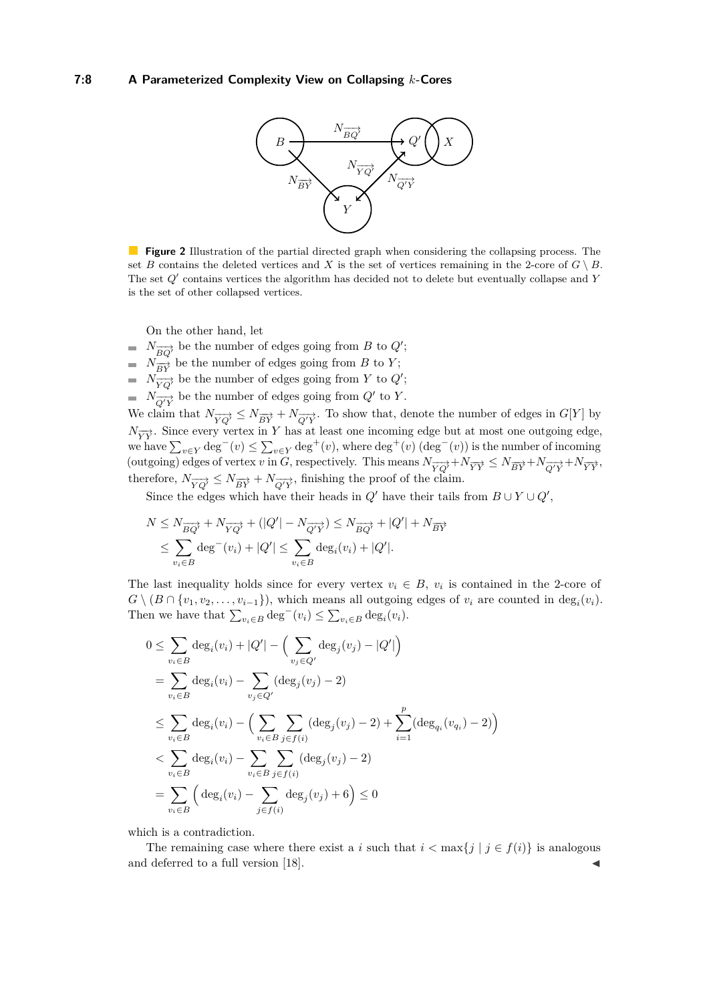<span id="page-7-0"></span>

**Figure 2** Illustration of the partial directed graph when considering the collapsing process. The set *B* contains the deleted vertices and *X* is the set of vertices remaining in the 2-core of  $G \setminus B$ . The set  $Q'$  contains vertices the algorithm has decided not to delete but eventually collapse and *Y* is the set of other collapsed vertices.

On the other hand, let

- $N_{\overrightarrow{BQ}}$  be the number of edges going from *B* to *Q*<sup>'</sup>;
- $N_{\overrightarrow{BY}}$  be the number of edges going from *B* to *Y*;
- $N_{\overrightarrow{YQ}}$ <sup>*i*</sup> be the number of edges going from *Y* to *Q*<sup>'</sup>;
- $N_{\overrightarrow{Q'Y}}$  be the number of edges going from  $Q'$  to *Y*.

We claim that  $N_{\overrightarrow{YQ}} \leq N_{\overrightarrow{BY}} + N_{\overrightarrow{Q'Y}}$ . To show that, denote the number of edges in  $G[Y]$  by  $N_{\overrightarrow{YY}}$ . Since every vertex in *Y* has at least one incoming edge but at most one outgoing edge, we have  $\sum_{v \in Y} \deg^{-}(v) \leq \sum_{v \in Y} \deg^{+}(v)$ , where  $\deg^{+}(v)$  ( $\deg^{-}(v)$ ) is the number of incoming (outgoing) edges of vertex *v* in *G*, respectively. This means  $N_{\overrightarrow{YQ'}} + N_{\overrightarrow{YY}} \leq N_{\overrightarrow{BY}} + N_{\overrightarrow{Q'Y}} + N_{\overrightarrow{YY}}$ , therefore,  $N_{\overrightarrow{YQ'}} \leq N_{\overrightarrow{BY}} + N_{\overrightarrow{Q'Y}}$ , finishing the proof of the claim.

Since the edges which have their heads in  $Q'$  have their tails from  $B \cup Y \cup Q'$ ,

$$
N \leq N_{\overrightarrow{BQ'}} + N_{\overrightarrow{YQ'}} + (|Q'| - N_{\overrightarrow{Q'Y}}) \leq N_{\overrightarrow{BQ'}} + |Q'| + N_{\overrightarrow{BY}} \leq \sum_{v_i \in B} \text{deg}^-(v_i) + |Q'| \leq \sum_{v_i \in B} \text{deg}_i(v_i) + |Q'|.
$$

The last inequality holds since for every vertex  $v_i \in B$ ,  $v_i$  is contained in the 2-core of  $G \setminus (B \cap \{v_1, v_2, \ldots, v_{i-1}\})$ , which means all outgoing edges of  $v_i$  are counted in  $\deg_i(v_i)$ . Then we have that  $\sum_{v_i \in B} \deg^{-}(v_i) \leq \sum_{v_i \in B} \deg_i(v_i)$ .

$$
0 \leq \sum_{v_i \in B} \deg_i(v_i) + |Q'| - \Big(\sum_{v_j \in Q'} \deg_j(v_j) - |Q'|\Big)
$$
  
=  $\sum_{v_i \in B} \deg_i(v_i) - \sum_{v_j \in Q'} (\deg_j(v_j) - 2)$   
 $\leq \sum_{v_i \in B} \deg_i(v_i) - \Big(\sum_{v_i \in B} \sum_{j \in f(i)} (\deg_j(v_j) - 2) + \sum_{i=1}^p (\deg_{q_i}(v_{q_i}) - 2)\Big)$   
 $< \sum_{v_i \in B} \deg_i(v_i) - \sum_{v_i \in B} \sum_{j \in f(i)} (\deg_j(v_j) - 2)$   
=  $\sum_{v_i \in B} (\deg_i(v_i) - \sum_{j \in f(i)} \deg_j(v_j) + 6) \leq 0$ 

which is a contradiction.

The remaining case where there exist a *i* such that  $i < \max\{j \mid j \in f(i)\}$  is analogous and deferred to a full version [\[18\]](#page-13-0).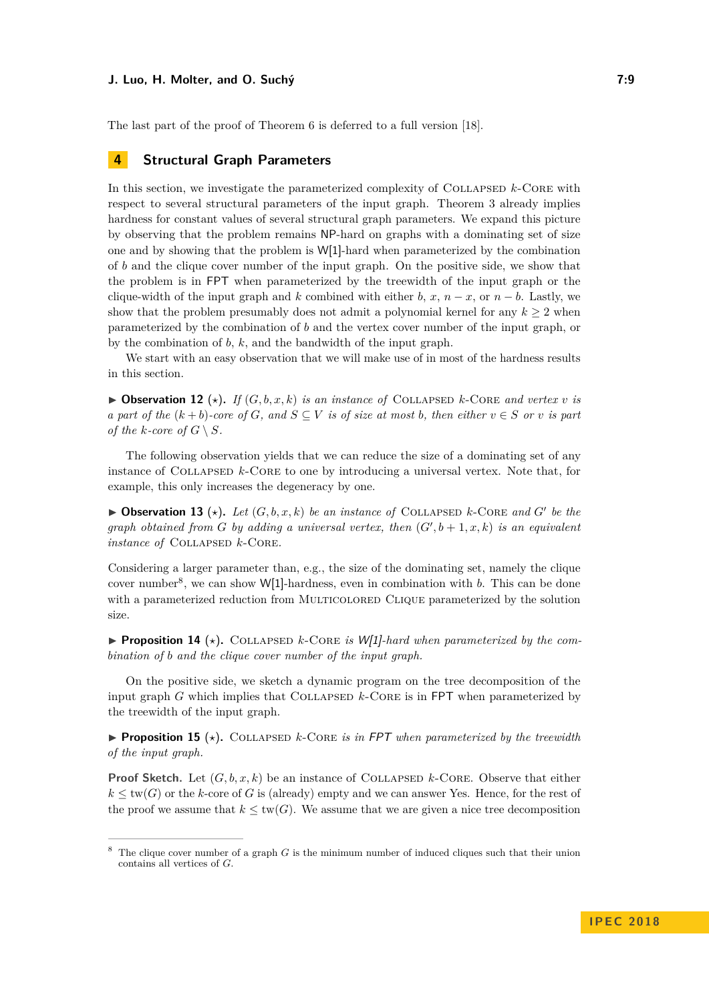#### **J. Luo, H. Molter, and O. Suchý 7:9**

The last part of the proof of [Theorem 6](#page-4-2) is deferred to a full version [\[18\]](#page-13-0).

### **4 Structural Graph Parameters**

In this section, we investigate the parameterized complexity of COLLAPSED  $k$ -CORE with respect to several structural parameters of the input graph. [Theorem 3](#page-3-1) already implies hardness for constant values of several structural graph parameters. We expand this picture by observing that the problem remains NP-hard on graphs with a dominating set of size one and by showing that the problem is W[1]-hard when parameterized by the combination of *b* and the clique cover number of the input graph. On the positive side, we show that the problem is in FPT when parameterized by the treewidth of the input graph or the clique-width of the input graph and *k* combined with either *b*,  $x, n - x$ , or  $n - b$ . Lastly, we show that the problem presumably does not admit a polynomial kernel for any  $k \geq 2$  when parameterized by the combination of *b* and the vertex cover number of the input graph, or by the combination of *b*, *k*, and the bandwidth of the input graph.

We start with an easy observation that we will make use of in most of the hardness results in this section.

<span id="page-8-1"></span> $\triangleright$  **Observation 12** ( $\star$ ). If  $(G, b, x, k)$  is an instance of COLLAPSED k-CORE and vertex v is *a part of the*  $(k + b)$ -core of *G*, and  $S \subseteq V$  *is of size at most b*, then either  $v \in S$  *or v is part of the k-core of*  $G \setminus S$ *.* 

The following observation yields that we can reduce the size of a dominating set of any instance of Collapsed *k*-Core to one by introducing a universal vertex. Note that, for example, this only increases the degeneracy by one.

 $\blacktriangleright$  **Observation 13** ( $\star$ ). Let  $(G, b, x, k)$  be an instance of COLLAPSED k-CORE and G' be the *graph obtained from G by adding a universal vertex, then*  $(G', b + 1, x, k)$  *is an equivalent instance of* COLLAPSED  $k$ -CORE.

Considering a larger parameter than, e.g., the size of the dominating set, namely the clique cover number<sup>[8](#page-8-0)</sup>, we can show W[1]-hardness, even in combination with *b*. This can be done with a parameterized reduction from MULTICOLORED CLIQUE parameterized by the solution size.

**Proposition 14** ( $\star$ ). COLLAPSED *k*-CORE *is W*[1]*-hard when parameterized by the combination of b and the clique cover number of the input graph.*

On the positive side, we sketch a dynamic program on the tree decomposition of the input graph *G* which implies that Collapsed *k*-Core is in FPT when parameterized by the treewidth of the input graph.

**Proposition 15** ( $\star$ ). COLLAPSED *k*-CORE *is in FPT when parameterized by the treewidth of the input graph.*

**Proof Sketch.** Let  $(G, b, x, k)$  be an instance of COLLAPSED  $k$ -CORE. Observe that either  $k \leq \text{tw}(G)$  or the *k*-core of G is (already) empty and we can answer Yes. Hence, for the rest of the proof we assume that  $k \leq \text{tw}(G)$ . We assume that we are given a nice tree decomposition

<span id="page-8-0"></span><sup>8</sup> The clique cover number of a graph *G* is the minimum number of induced cliques such that their union contains all vertices of *G*.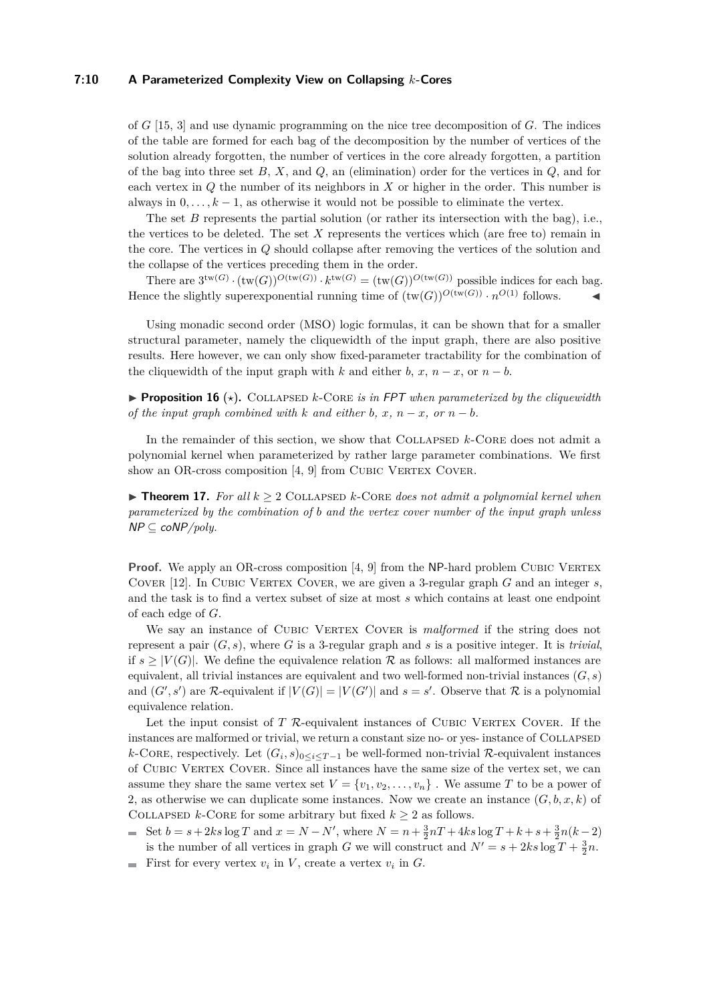#### **7:10 A Parameterized Complexity View on Collapsing** *k***-Cores**

of *G* [\[15,](#page-13-10) [3\]](#page-12-11) and use dynamic programming on the nice tree decomposition of *G*. The indices of the table are formed for each bag of the decomposition by the number of vertices of the solution already forgotten, the number of vertices in the core already forgotten, a partition of the bag into three set *B*, *X*, and *Q*, an (elimination) order for the vertices in *Q*, and for each vertex in *Q* the number of its neighbors in *X* or higher in the order. This number is always in  $0, \ldots, k-1$ , as otherwise it would not be possible to eliminate the vertex.

The set *B* represents the partial solution (or rather its intersection with the bag), i.e., the vertices to be deleted. The set *X* represents the vertices which (are free to) remain in the core. The vertices in *Q* should collapse after removing the vertices of the solution and the collapse of the vertices preceding them in the order.

There are  $3^{tw(G)} \cdot (tw(G))^{O(tw(G))} \cdot k^{tw(G)} = (tw(G))^{O(tw(G))}$  possible indices for each bag. Hence the slightly superexponential running time of  $(\text{tw}(G))^{O(\text{tw}(G))} \cdot n^{O(1)}$  follows.

Using monadic second order (MSO) logic formulas, it can be shown that for a smaller structural parameter, namely the cliquewidth of the input graph, there are also positive results. Here however, we can only show fixed-parameter tractability for the combination of the cliquewidth of the input graph with *k* and either *b*, *x*, *n* − *x*, or *n* − *b*.

**Proposition 16** ( $\star$ ). COLLAPSED *k*-CORE *is in FPT when parameterized by the cliquewidth of the input graph combined with*  $k$  *and either*  $b, x, n - x, or n - b$ .

In the remainder of this section, we show that COLLAPSED  $k$ -CORE does not admit a polynomial kernel when parameterized by rather large parameter combinations. We first show an OR-cross composition [\[4,](#page-12-12) [9\]](#page-12-6) from CUBIC VERTEX COVER.

<span id="page-9-0"></span> $\triangleright$  **Theorem 17.** For all  $k > 2$  COLLAPSED *k*-CORE does not admit a polynomial kernel when *parameterized by the combination of b and the vertex cover number of the input graph unless* NP ⊆ coNP*/poly.*

**Proof.** We apply an OR-cross composition [\[4,](#page-12-12) [9\]](#page-12-6) from the NP-hard problem CUBIC VERTEX Cover [\[12\]](#page-12-7). In Cubic Vertex Cover, we are given a 3-regular graph *G* and an integer *s*, and the task is to find a vertex subset of size at most *s* which contains at least one endpoint of each edge of *G*.

We say an instance of CUBIC VERTEX COVER is *malformed* if the string does not represent a pair  $(G, s)$ , where G is a 3-regular graph and s is a positive integer. It is *trivial*, if  $s > |V(G)|$ . We define the equivalence relation R as follows: all malformed instances are equivalent, all trivial instances are equivalent and two well-formed non-trivial instances (*G, s*) and  $(G', s')$  are R-equivalent if  $|V(G)| = |V(G')|$  and  $s = s'$ . Observe that R is a polynomial equivalence relation.

Let the input consist of *T* R-equivalent instances of CUBIC VERTEX COVER. If the instances are malformed or trivial, we return a constant size no- or yes- instance of COLLAPSED *k*-CORE, respectively. Let  $(G_i, s)_{0 \leq i \leq T-1}$  be well-formed non-trivial R-equivalent instances of Cubic Vertex Cover. Since all instances have the same size of the vertex set, we can assume they share the same vertex set  $V = \{v_1, v_2, \ldots, v_n\}$ . We assume *T* to be a power of 2, as otherwise we can duplicate some instances. Now we create an instance  $(G, b, x, k)$  of COLLAPSED *k*-CORE for some arbitrary but fixed  $k \geq 2$  as follows.

- Set  $b = s + 2ks \log T$  and  $x = N N'$ , where  $N = n + \frac{3}{2}nT + 4ks \log T + k + s + \frac{3}{2}n(k-2)$ is the number of all vertices in graph *G* we will construct and  $N' = s + 2ks \log T + \frac{3}{2}n$ .
- First for every vertex  $v_i$  in  $V$ , create a vertex  $v_i$  in  $G$ .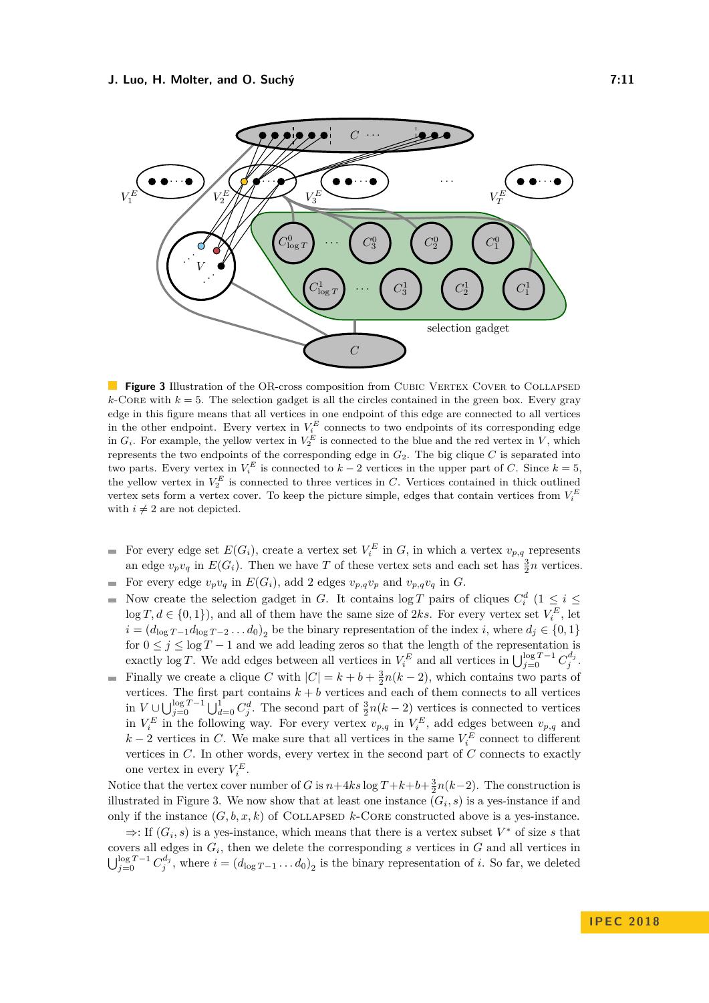<span id="page-10-0"></span>

**Figure 3** Illustration of the OR-cross composition from CUBIC VERTEX COVER to COLLAPSED  $k$ -Core with  $k = 5$ . The selection gadget is all the circles contained in the green box. Every gray edge in this figure means that all vertices in one endpoint of this edge are connected to all vertices in the other endpoint. Every vertex in  $V_i^E$  connects to two endpoints of its corresponding edge in  $G_i$ . For example, the yellow vertex in  $V_2^E$  is connected to the blue and the red vertex in *V*, which represents the two endpoints of the corresponding edge in  $G_2$ . The big clique *C* is separated into two parts. Every vertex in  $V_i^E$  is connected to  $k-2$  vertices in the upper part of *C*. Since  $k=5$ , the yellow vertex in  $V_2^E$  is connected to three vertices in *C*. Vertices contained in thick outlined vertex sets form a vertex cover. To keep the picture simple, edges that contain vertices from  $V_i^E$ with  $i \neq 2$  are not depicted.

- For every edge set  $E(G_i)$ , create a vertex set  $V_i^E$  in  $G$ , in which a vertex  $v_{p,q}$  represents an edge  $v_p v_q$  in  $E(G_i)$ . Then we have *T* of these vertex sets and each set has  $\frac{3}{2}n$  vertices.
- For every edge  $v_p v_q$  in  $E(G_i)$ , add 2 edges  $v_{p,q} v_p$  and  $v_{p,q} v_q$  in  $G$ .  $\sim$
- Now create the selection gadget in *G*. It contains  $\log T$  pairs of cliques  $C_i^d$  ( $1 \leq i \leq$  $\equiv$  $\log T, d \in \{0, 1\}$ , and all of them have the same size of 2ks. For every vertex set  $V_i^E$ , let  $i = (d_{\log T - 1}d_{\log T - 2} \dots d_0)_2$  be the binary representation of the index *i*, where  $d_j \in \{0, 1\}$ for  $0 \leq j \leq \log T - 1$  and we add leading zeros so that the length of the representation is exactly log *T*. We add edges between all vertices in  $V_i^E$  and all vertices in  $\bigcup_{j=0}^{\log T-1} C_j^{d_j}$ .
- Finally we create a clique *C* with  $|C| = k + b + \frac{3}{2}n(k-2)$ , which contains two parts of vertices. The first part contains  $k + b$  vertices and each of them connects to all vertices in  $V \cup \bigcup_{j=0}^{\log T-1} \bigcup_{d=0}^{1} C_j^d$ . The second part of  $\frac{3}{2}n(k-2)$  vertices is connected to vertices in  $V_i^E$  in the following way. For every vertex  $v_{p,q}$  in  $V_i^E$ , add edges between  $v_{p,q}$  and  $k-2$  vertices in *C*. We make sure that all vertices in the same  $V_i^E$  connect to different vertices in *C*. In other words, every vertex in the second part of *C* connects to exactly one vertex in every  $V_i^E$ .

Notice that the vertex cover number of *G* is  $n+4ks \log T + k + b + \frac{3}{2}n(k-2)$ . The construction is illustrated in [Figure 3.](#page-10-0) We now show that at least one instance  $(G_i, s)$  is a yes-instance if and only if the instance  $(G, b, x, k)$  of COLLAPSED  $k$ -CORE constructed above is a yes-instance.

 $\Rightarrow$ : If  $(G_i, s)$  is a yes-instance, which means that there is a vertex subset  $V^*$  of size *s* that covers all edges in *G<sup>i</sup>* , then we delete the corresponding *s* vertices in *G* and all vertices in  $\bigcup_{j=0}^{\log T-1} C_j^{d_j}$ , where  $i = (d_{\log T-1} \dots d_0)_2$  is the binary representation of *i*. So far, we deleted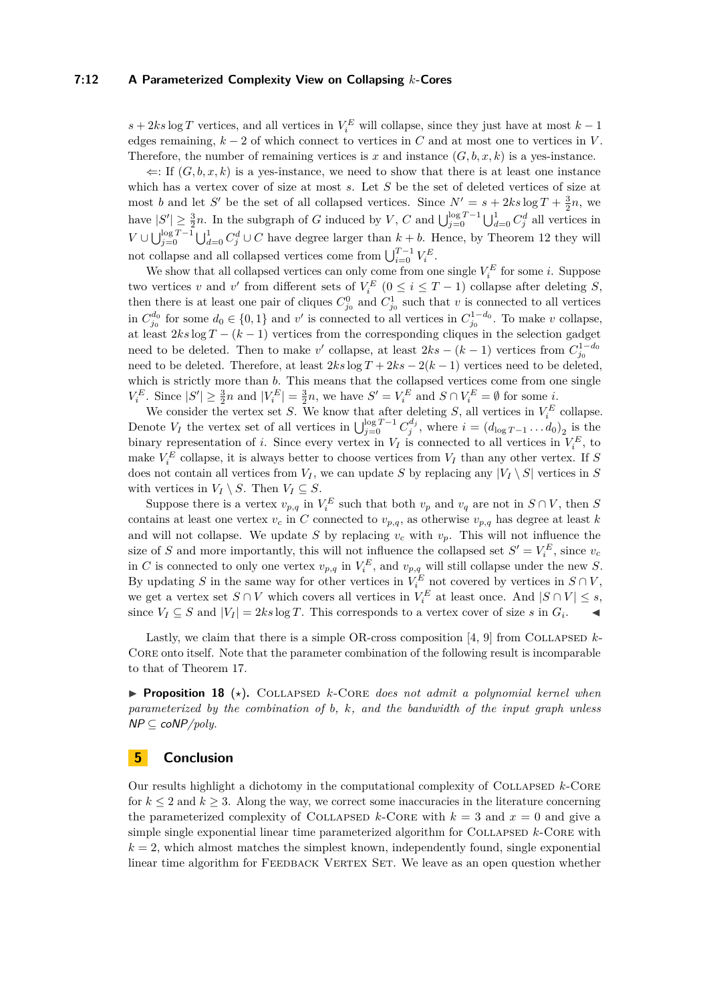#### **7:12 A Parameterized Complexity View on Collapsing** *k***-Cores**

 $s + 2ks \log T$  vertices, and all vertices in  $V_i^E$  will collapse, since they just have at most  $k - 1$ edges remaining,  $k - 2$  of which connect to vertices in *C* and at most one to vertices in *V*. Therefore, the number of remaining vertices is  $x$  and instance  $(G, b, x, k)$  is a yes-instance.

 $\Leftarrow$ : If  $(G, b, x, k)$  is a yes-instance, we need to show that there is at least one instance which has a vertex cover of size at most *s*. Let *S* be the set of deleted vertices of size at most *b* and let *S'* be the set of all collapsed vertices. Since  $N' = s + 2ks \log T + \frac{3}{2}n$ , we 2 have  $|S'| \geq \frac{3}{2}n$ . In the subgraph of *G* induced by *V*, *C* and  $\bigcup_{j=0}^{\log T-1} \bigcup_{d=0}^{1} C_j^d$  all vertices in *V* ∪  $\bigcup_{j=0}^{\log T-1} \bigcup_{d=0}^{1} C_j^d$  ∪ *C* have degree larger than *k* + *b*. Hence, by [Theorem 12](#page-8-1) they will not collapse and all collapsed vertices come from  $\bigcup_{i=0}^{T-1} V_i^E$ .

We show that all collapsed vertices can only come from one single  $V_i^E$  for some *i*. Suppose two vertices *v* and *v*<sup> $\prime$ </sup> from different sets of  $V_i^E$  ( $0 \le i \le T-1$ ) collapse after deleting *S*, then there is at least one pair of cliques  $C_{j_0}^0$  and  $C_{j_0}^1$  such that *v* is connected to all vertices in  $C_{j_0}^{d_0}$  for some  $d_0 \in \{0, 1\}$  and  $v'$  is connected to all vertices in  $C_{j_0}^{1-d_0}$ . To make *v* collapse, at least 2*ks* log *T* − (*k* − 1) vertices from the corresponding cliques in the selection gadget need to be deleted. Then to make  $v'$  collapse, at least  $2ks - (k-1)$  vertices from  $C_{j_0}^{1-d_0}$ need to be deleted. Therefore, at least  $2ks \log T + 2ks - 2(k-1)$  vertices need to be deleted, which is strictly more than *b*. This means that the collapsed vertices come from one single  $V_i^E$ . Since  $|S'| \geq \frac{3}{2}n$  and  $|V_i^E| = \frac{3}{2}n$ , we have  $S' = V_i^E$  and  $S \cap V_i^E = \emptyset$  for some *i*.

We consider the vertex set *S*. We know that after deleting *S*, all vertices in  $V_i^E$  collapse. Denote *V<sub>I</sub>* the vertex set of all vertices in  $\bigcup_{j=0}^{\log T-1} C_j^{d_j}$ , where  $i = (d_{\log T-1} \dots d_0)_2$  is the binary representation of *i*. Since every vertex in  $V_I$  is connected to all vertices in  $V_i^E$ , to make  $V_i^E$  collapse, it is always better to choose vertices from  $V_I$  than any other vertex. If *S* does not contain all vertices from  $V_I$ , we can update *S* by replacing any  $|V_I \setminus S|$  vertices in *S* with vertices in  $V_I \setminus S$ . Then  $V_I \subseteq S$ .

Suppose there is a vertex  $v_{p,q}$  in  $V_i^E$  such that both  $v_p$  and  $v_q$  are not in  $S \cap V$ , then *S* contains at least one vertex  $v_c$  in *C* connected to  $v_{p,q}$ , as otherwise  $v_{p,q}$  has degree at least *k* and will not collapse. We update *S* by replacing  $v_c$  with  $v_p$ . This will not influence the size of *S* and more importantly, this will not influence the collapsed set  $S' = V_i^E$ , since  $v_c$ in *C* is connected to only one vertex  $v_{p,q}$  in  $V_i^E$ , and  $v_{p,q}$  will still collapse under the new *S*. By updating *S* in the same way for other vertices in  $V_i^E$  not covered by vertices in  $S \cap V$ , we get a vertex set  $S \cap V$  which covers all vertices in  $V_i^E$  at least once. And  $|S \cap V| \leq s$ , since  $V_I \subseteq S$  and  $|V_I| = 2ks \log T$ . This corresponds to a vertex cover of size *s* in  $G_i$ .

Lastly, we claim that there is a simple OR-cross composition  $[4, 9]$  $[4, 9]$  $[4, 9]$  from COLLAPSED  $k$ -CORE onto itself. Note that the parameter combination of the following result is incomparable to that of [Theorem 17.](#page-9-0)

**Proposition 18** ( $\star$ ). COLLAPSED  $k$ -CORE does not admit a polynomial kernel when *parameterized by the combination of b, k, and the bandwidth of the input graph unless* NP ⊆ coNP*/poly.*

## **5 Conclusion**

Our results highlight a dichotomy in the computational complexity of Collapsed *k*-Core for  $k \leq 2$  and  $k \geq 3$ . Along the way, we correct some inaccuracies in the literature concerning the parameterized complexity of COLLAPSED  $k$ -Core with  $k = 3$  and  $x = 0$  and give a simple single exponential linear time parameterized algorithm for COLLAPSED  $k$ -CORE with  $k = 2$ , which almost matches the simplest known, independently found, single exponential linear time algorithm for FEEDBACK VERTEX SET. We leave as an open question whether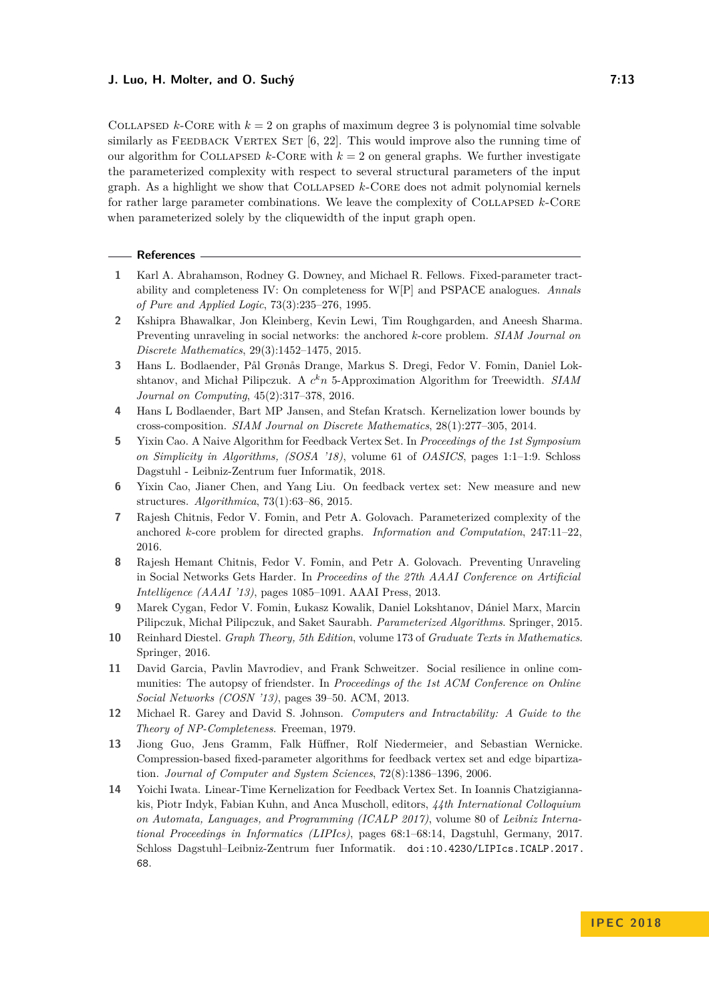### **J. Luo, H. Molter, and O. Suchý 7:13**

COLLAPSED  $k$ -CORE with  $k = 2$  on graphs of maximum degree 3 is polynomial time solvable similarly as FEEDBACK VERTEX SET  $[6, 22]$  $[6, 22]$  $[6, 22]$ . This would improve also the running time of our algorithm for COLLAPSED  $k$ -CORE with  $k = 2$  on general graphs. We further investigate the parameterized complexity with respect to several structural parameters of the input graph. As a highlight we show that Collapsed *k*-Core does not admit polynomial kernels for rather large parameter combinations. We leave the complexity of Collapsed *k*-Core when parameterized solely by the cliquewidth of the input graph open.

#### **References**

- <span id="page-12-4"></span>**1** Karl A. Abrahamson, Rodney G. Downey, and Michael R. Fellows. Fixed-parameter tractability and completeness IV: On completeness for W[P] and PSPACE analogues. *Annals of Pure and Applied Logic*, 73(3):235–276, 1995.
- <span id="page-12-0"></span>**2** Kshipra Bhawalkar, Jon Kleinberg, Kevin Lewi, Tim Roughgarden, and Aneesh Sharma. Preventing unraveling in social networks: the anchored *k*-core problem. *SIAM Journal on Discrete Mathematics*, 29(3):1452–1475, 2015.
- <span id="page-12-11"></span>**3** Hans L. Bodlaender, Pål Grønås Drange, Markus S. Dregi, Fedor V. Fomin, Daniel Lokshtanov, and Michał Pilipczuk. A *c <sup>k</sup>n* 5-Approximation Algorithm for Treewidth. *SIAM Journal on Computing*, 45(2):317–378, 2016.
- <span id="page-12-12"></span>**4** Hans L Bodlaender, Bart MP Jansen, and Stefan Kratsch. Kernelization lower bounds by cross-composition. *SIAM Journal on Discrete Mathematics*, 28(1):277–305, 2014.
- <span id="page-12-8"></span>**5** Yixin Cao. A Naive Algorithm for Feedback Vertex Set. In *Proceedings of the 1st Symposium on Simplicity in Algorithms, (SOSA '18)*, volume 61 of *OASICS*, pages 1:1–1:9. Schloss Dagstuhl - Leibniz-Zentrum fuer Informatik, 2018.
- <span id="page-12-13"></span>**6** Yixin Cao, Jianer Chen, and Yang Liu. On feedback vertex set: New measure and new structures. *Algorithmica*, 73(1):63–86, 2015.
- <span id="page-12-1"></span>**7** Rajesh Chitnis, Fedor V. Fomin, and Petr A. Golovach. Parameterized complexity of the anchored *k*-core problem for directed graphs. *Information and Computation*, 247:11–22, 2016.
- <span id="page-12-2"></span>**8** Rajesh Hemant Chitnis, Fedor V. Fomin, and Petr A. Golovach. Preventing Unraveling in Social Networks Gets Harder. In *Proceedins of the 27th AAAI Conference on Artificial Intelligence (AAAI '13)*, pages 1085–1091. AAAI Press, 2013.
- <span id="page-12-6"></span>**9** Marek Cygan, Fedor V. Fomin, Łukasz Kowalik, Daniel Lokshtanov, Dániel Marx, Marcin Pilipczuk, Michał Pilipczuk, and Saket Saurabh. *Parameterized Algorithms*. Springer, 2015.
- <span id="page-12-5"></span>**10** Reinhard Diestel. *Graph Theory, 5th Edition*, volume 173 of *Graduate Texts in Mathematics*. Springer, 2016.
- <span id="page-12-3"></span>**11** David Garcia, Pavlin Mavrodiev, and Frank Schweitzer. Social resilience in online communities: The autopsy of friendster. In *Proceedings of the 1st ACM Conference on Online Social Networks (COSN '13)*, pages 39–50. ACM, 2013.
- <span id="page-12-7"></span>**12** Michael R. Garey and David S. Johnson. *Computers and Intractability: A Guide to the Theory of NP-Completeness*. Freeman, 1979.
- <span id="page-12-9"></span>**13** Jiong Guo, Jens Gramm, Falk Hüffner, Rolf Niedermeier, and Sebastian Wernicke. Compression-based fixed-parameter algorithms for feedback vertex set and edge bipartization. *Journal of Computer and System Sciences*, 72(8):1386–1396, 2006.
- <span id="page-12-10"></span>**14** Yoichi Iwata. Linear-Time Kernelization for Feedback Vertex Set. In Ioannis Chatzigiannakis, Piotr Indyk, Fabian Kuhn, and Anca Muscholl, editors, *44th International Colloquium on Automata, Languages, and Programming (ICALP 2017)*, volume 80 of *Leibniz International Proceedings in Informatics (LIPIcs)*, pages 68:1–68:14, Dagstuhl, Germany, 2017. Schloss Dagstuhl–Leibniz-Zentrum fuer Informatik. [doi:10.4230/LIPIcs.ICALP.2017.](http://dx.doi.org/10.4230/LIPIcs.ICALP.2017.68) [68](http://dx.doi.org/10.4230/LIPIcs.ICALP.2017.68).